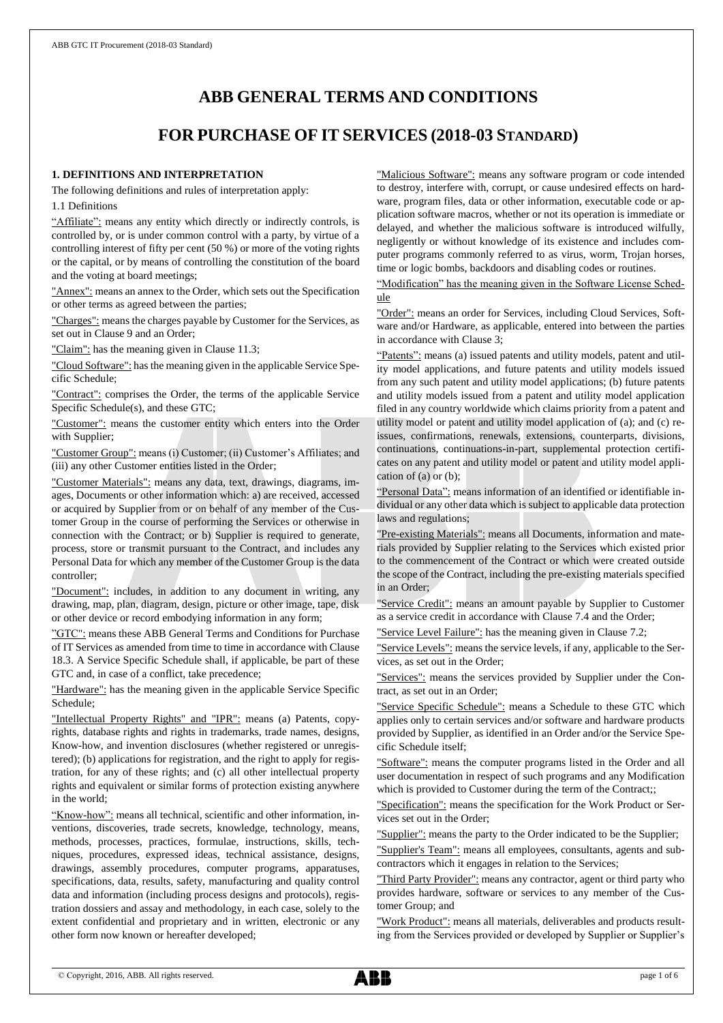# **ABB GENERAL TERMS AND CONDITIONS**

# **FOR PURCHASE OF IT SERVICES (2018-03 STANDARD)**

### **1. DEFINITIONS AND INTERPRETATION**

The following definitions and rules of interpretation apply:

1.1 Definitions

"Affiliate": means any entity which directly or indirectly controls, is controlled by, or is under common control with a party, by virtue of a controlling interest of fifty per cent (50 %) or more of the voting rights or the capital, or by means of controlling the constitution of the board and the voting at board meetings;

"Annex": means an annex to the Order, which sets out the Specification or other terms as agreed between the parties;

"Charges": means the charges payable by Customer for the Services, as set out in Clause 9 and an Order;

"Claim": has the meaning given in Clause 11.3;

"Cloud Software": has the meaning given in the applicable Service Specific Schedule;

"Contract": comprises the Order, the terms of the applicable Service Specific Schedule(s), and these GTC;

"Customer": means the customer entity which enters into the Order with Supplier;

"Customer Group": means (i) Customer; (ii) Customer's Affiliates; and (iii) any other Customer entities listed in the Order;

"Customer Materials": means any data, text, drawings, diagrams, images, Documents or other information which: a) are received, accessed or acquired by Supplier from or on behalf of any member of the Customer Group in the course of performing the Services or otherwise in connection with the Contract; or b) Supplier is required to generate, process, store or transmit pursuant to the Contract, and includes any Personal Data for which any member of the Customer Group is the data controller;

"Document": includes, in addition to any document in writing, any drawing, map, plan, diagram, design, picture or other image, tape, disk or other device or record embodying information in any form;

"GTC": means these ABB General Terms and Conditions for Purchase of IT Services as amended from time to time in accordance with Clause 18.3. A Service Specific Schedule shall, if applicable, be part of these GTC and, in case of a conflict, take precedence;

"Hardware": has the meaning given in the applicable Service Specific Schedule;

"Intellectual Property Rights" and "IPR": means (a) Patents, copyrights, database rights and rights in trademarks, trade names, designs, Know-how, and invention disclosures (whether registered or unregistered); (b) applications for registration, and the right to apply for registration, for any of these rights; and (c) all other intellectual property rights and equivalent or similar forms of protection existing anywhere in the world;

"Know-how": means all technical, scientific and other information, inventions, discoveries, trade secrets, knowledge, technology, means, methods, processes, practices, formulae, instructions, skills, techniques, procedures, expressed ideas, technical assistance, designs, drawings, assembly procedures, computer programs, apparatuses, specifications, data, results, safety, manufacturing and quality control data and information (including process designs and protocols), registration dossiers and assay and methodology, in each case, solely to the extent confidential and proprietary and in written, electronic or any other form now known or hereafter developed;

"Malicious Software": means any software program or code intended to destroy, interfere with, corrupt, or cause undesired effects on hardware, program files, data or other information, executable code or application software macros, whether or not its operation is immediate or delayed, and whether the malicious software is introduced wilfully, negligently or without knowledge of its existence and includes computer programs commonly referred to as virus, worm, Trojan horses, time or logic bombs, backdoors and disabling codes or routines.

"Modification" has the meaning given in the Software License Schedule

"Order": means an order for Services, including Cloud Services, Software and/or Hardware, as applicable, entered into between the parties in accordance with Clause 3;

"Patents": means (a) issued patents and utility models, patent and utility model applications, and future patents and utility models issued from any such patent and utility model applications; (b) future patents and utility models issued from a patent and utility model application filed in any country worldwide which claims priority from a patent and utility model or patent and utility model application of (a); and (c) reissues, confirmations, renewals, extensions, counterparts, divisions, continuations, continuations-in-part, supplemental protection certificates on any patent and utility model or patent and utility model application of (a) or (b);

"Personal Data": means information of an identified or identifiable individual or any other data which is subject to applicable data protection laws and regulations;

"Pre-existing Materials": means all Documents, information and materials provided by Supplier relating to the Services which existed prior to the commencement of the Contract or which were created outside the scope of the Contract, including the pre-existing materials specified in an Order;

"Service Credit": means an amount payable by Supplier to Customer as a service credit in accordance with Clause 7.4 and the Order;

"Service Level Failure": has the meaning given in Clause 7.2;

"Service Levels": means the service levels, if any, applicable to the Services, as set out in the Order;

"Services": means the services provided by Supplier under the Contract, as set out in an Order;

"Service Specific Schedule": means a Schedule to these GTC which applies only to certain services and/or software and hardware products provided by Supplier, as identified in an Order and/or the Service Specific Schedule itself;

"Software": means the computer programs listed in the Order and all user documentation in respect of such programs and any Modification which is provided to Customer during the term of the Contract;;

"Specification": means the specification for the Work Product or Services set out in the Order;

"Supplier": means the party to the Order indicated to be the Supplier;

"Supplier's Team": means all employees, consultants, agents and subcontractors which it engages in relation to the Services;

"Third Party Provider": means any contractor, agent or third party who provides hardware, software or services to any member of the Customer Group; and

"Work Product": means all materials, deliverables and products resulting from the Services provided or developed by Supplier or Supplier's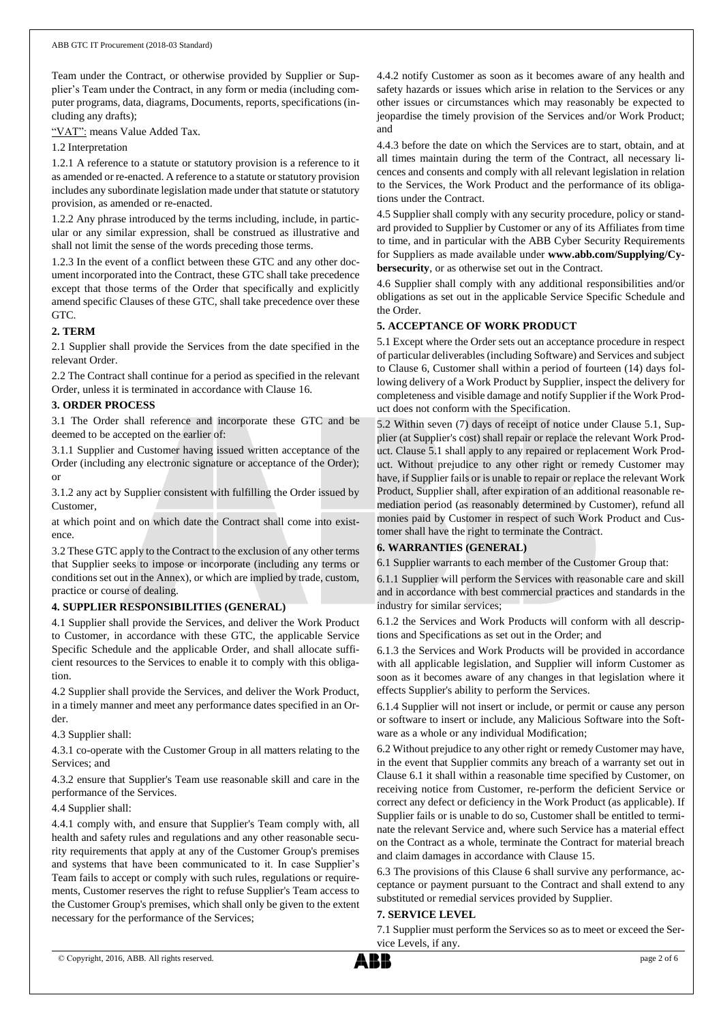Team under the Contract, or otherwise provided by Supplier or Supplier's Team under the Contract, in any form or media (including computer programs, data, diagrams, Documents, reports, specifications (including any drafts);

"VAT": means Value Added Tax.

1.2 Interpretation

1.2.1 A reference to a statute or statutory provision is a reference to it as amended or re-enacted. A reference to a statute or statutory provision includes any subordinate legislation made under that statute or statutory provision, as amended or re-enacted.

1.2.2 Any phrase introduced by the terms including, include, in particular or any similar expression, shall be construed as illustrative and shall not limit the sense of the words preceding those terms.

1.2.3 In the event of a conflict between these GTC and any other document incorporated into the Contract, these GTC shall take precedence except that those terms of the Order that specifically and explicitly amend specific Clauses of these GTC, shall take precedence over these GTC.

# **2. TERM**

2.1 Supplier shall provide the Services from the date specified in the relevant Order.

2.2 The Contract shall continue for a period as specified in the relevant Order, unless it is terminated in accordance with Clause 16.

# **3. ORDER PROCESS**

3.1 The Order shall reference and incorporate these GTC and be deemed to be accepted on the earlier of:

3.1.1 Supplier and Customer having issued written acceptance of the Order (including any electronic signature or acceptance of the Order); or

3.1.2 any act by Supplier consistent with fulfilling the Order issued by Customer,

at which point and on which date the Contract shall come into existence.

3.2 These GTC apply to the Contract to the exclusion of any other terms that Supplier seeks to impose or incorporate (including any terms or conditions set out in the Annex), or which are implied by trade, custom, practice or course of dealing.

# **4. SUPPLIER RESPONSIBILITIES (GENERAL)**

4.1 Supplier shall provide the Services, and deliver the Work Product to Customer, in accordance with these GTC, the applicable Service Specific Schedule and the applicable Order, and shall allocate sufficient resources to the Services to enable it to comply with this obligation.

4.2 Supplier shall provide the Services, and deliver the Work Product, in a timely manner and meet any performance dates specified in an Order.

4.3 Supplier shall:

4.3.1 co-operate with the Customer Group in all matters relating to the Services; and

4.3.2 ensure that Supplier's Team use reasonable skill and care in the performance of the Services.

## 4.4 Supplier shall:

4.4.1 comply with, and ensure that Supplier's Team comply with, all health and safety rules and regulations and any other reasonable security requirements that apply at any of the Customer Group's premises and systems that have been communicated to it. In case Supplier's Team fails to accept or comply with such rules, regulations or requirements, Customer reserves the right to refuse Supplier's Team access to the Customer Group's premises, which shall only be given to the extent necessary for the performance of the Services;

4.4.2 notify Customer as soon as it becomes aware of any health and safety hazards or issues which arise in relation to the Services or any other issues or circumstances which may reasonably be expected to jeopardise the timely provision of the Services and/or Work Product; and

4.4.3 before the date on which the Services are to start, obtain, and at all times maintain during the term of the Contract, all necessary licences and consents and comply with all relevant legislation in relation to the Services, the Work Product and the performance of its obligations under the Contract.

4.5 Supplier shall comply with any security procedure, policy or standard provided to Supplier by Customer or any of its Affiliates from time to time, and in particular with the ABB Cyber Security Requirements for Suppliers as made available under **www.abb.com/Supplying/Cybersecurity**, or as otherwise set out in the Contract.

4.6 Supplier shall comply with any additional responsibilities and/or obligations as set out in the applicable Service Specific Schedule and the Order.

# **5. ACCEPTANCE OF WORK PRODUCT**

5.1 Except where the Order sets out an acceptance procedure in respect of particular deliverables (including Software) and Services and subject to Clause 6, Customer shall within a period of fourteen (14) days following delivery of a Work Product by Supplier, inspect the delivery for completeness and visible damage and notify Supplier if the Work Product does not conform with the Specification.

5.2 Within seven (7) days of receipt of notice under Clause 5.1, Supplier (at Supplier's cost) shall repair or replace the relevant Work Product. Clause 5.1 shall apply to any repaired or replacement Work Product. Without prejudice to any other right or remedy Customer may have, if Supplier fails or is unable to repair or replace the relevant Work Product, Supplier shall, after expiration of an additional reasonable remediation period (as reasonably determined by Customer), refund all monies paid by Customer in respect of such Work Product and Customer shall have the right to terminate the Contract.

# **6. WARRANTIES (GENERAL)**

6.1 Supplier warrants to each member of the Customer Group that:

6.1.1 Supplier will perform the Services with reasonable care and skill and in accordance with best commercial practices and standards in the industry for similar services;

6.1.2 the Services and Work Products will conform with all descriptions and Specifications as set out in the Order; and

6.1.3 the Services and Work Products will be provided in accordance with all applicable legislation, and Supplier will inform Customer as soon as it becomes aware of any changes in that legislation where it effects Supplier's ability to perform the Services.

6.1.4 Supplier will not insert or include, or permit or cause any person or software to insert or include, any Malicious Software into the Software as a whole or any individual Modification;

6.2 Without prejudice to any other right or remedy Customer may have, in the event that Supplier commits any breach of a warranty set out in Clause 6.1 it shall within a reasonable time specified by Customer, on receiving notice from Customer, re-perform the deficient Service or correct any defect or deficiency in the Work Product (as applicable). If Supplier fails or is unable to do so, Customer shall be entitled to terminate the relevant Service and, where such Service has a material effect on the Contract as a whole, terminate the Contract for material breach and claim damages in accordance with Clause 15.

6.3 The provisions of this Clause 6 shall survive any performance, acceptance or payment pursuant to the Contract and shall extend to any substituted or remedial services provided by Supplier.

# **7. SERVICE LEVEL**

7.1 Supplier must perform the Services so as to meet or exceed the Service Levels, if any.

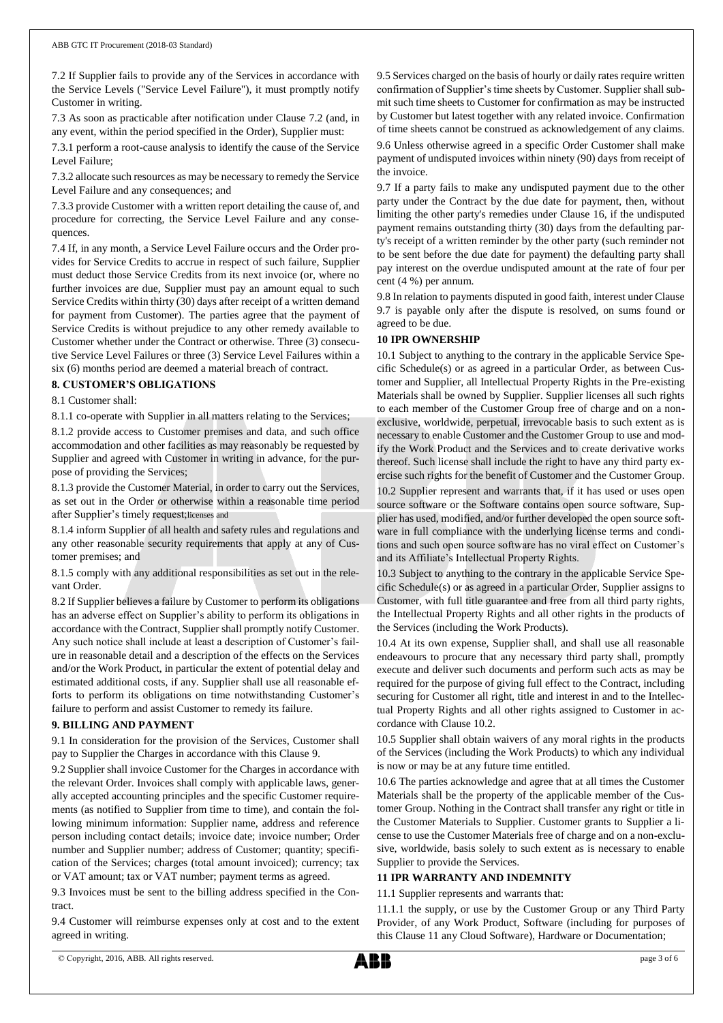7.2 If Supplier fails to provide any of the Services in accordance with the Service Levels ("Service Level Failure"), it must promptly notify Customer in writing.

7.3 As soon as practicable after notification under Clause 7.2 (and, in any event, within the period specified in the Order), Supplier must:

7.3.1 perform a root-cause analysis to identify the cause of the Service Level Failure;

7.3.2 allocate such resources as may be necessary to remedy the Service Level Failure and any consequences; and

7.3.3 provide Customer with a written report detailing the cause of, and procedure for correcting, the Service Level Failure and any consequences.

7.4 If, in any month, a Service Level Failure occurs and the Order provides for Service Credits to accrue in respect of such failure, Supplier must deduct those Service Credits from its next invoice (or, where no further invoices are due, Supplier must pay an amount equal to such Service Credits within thirty (30) days after receipt of a written demand for payment from Customer). The parties agree that the payment of Service Credits is without prejudice to any other remedy available to Customer whether under the Contract or otherwise. Three (3) consecutive Service Level Failures or three (3) Service Level Failures within a six (6) months period are deemed a material breach of contract.

# **8. CUSTOMER'S OBLIGATIONS**

8.1 Customer shall:

8.1.1 co-operate with Supplier in all matters relating to the Services;

8.1.2 provide access to Customer premises and data, and such office accommodation and other facilities as may reasonably be requested by Supplier and agreed with Customer in writing in advance, for the purpose of providing the Services;

8.1.3 provide the Customer Material, in order to carry out the Services, as set out in the Order or otherwise within a reasonable time period after Supplier's timely request;licenses and

8.1.4 inform Supplier of all health and safety rules and regulations and any other reasonable security requirements that apply at any of Customer premises; and

8.1.5 comply with any additional responsibilities as set out in the relevant Order.

8.2 If Supplier believes a failure by Customer to perform its obligations has an adverse effect on Supplier's ability to perform its obligations in accordance with the Contract, Supplier shall promptly notify Customer. Any such notice shall include at least a description of Customer's failure in reasonable detail and a description of the effects on the Services and/or the Work Product, in particular the extent of potential delay and estimated additional costs, if any. Supplier shall use all reasonable efforts to perform its obligations on time notwithstanding Customer's failure to perform and assist Customer to remedy its failure.

## **9. BILLING AND PAYMENT**

9.1 In consideration for the provision of the Services, Customer shall pay to Supplier the Charges in accordance with this Clause 9.

9.2 Supplier shall invoice Customer for the Charges in accordance with the relevant Order. Invoices shall comply with applicable laws, generally accepted accounting principles and the specific Customer requirements (as notified to Supplier from time to time), and contain the following minimum information: Supplier name, address and reference person including contact details; invoice date; invoice number; Order number and Supplier number; address of Customer; quantity; specification of the Services; charges (total amount invoiced); currency; tax or VAT amount; tax or VAT number; payment terms as agreed.

9.3 Invoices must be sent to the billing address specified in the Contract.

9.4 Customer will reimburse expenses only at cost and to the extent agreed in writing.

9.5 Services charged on the basis of hourly or daily rates require written confirmation of Supplier's time sheets by Customer. Supplier shall submit such time sheets to Customer for confirmation as may be instructed by Customer but latest together with any related invoice. Confirmation of time sheets cannot be construed as acknowledgement of any claims. 9.6 Unless otherwise agreed in a specific Order Customer shall make payment of undisputed invoices within ninety (90) days from receipt of the invoice.

9.7 If a party fails to make any undisputed payment due to the other party under the Contract by the due date for payment, then, without limiting the other party's remedies under Clause 16, if the undisputed payment remains outstanding thirty (30) days from the defaulting party's receipt of a written reminder by the other party (such reminder not to be sent before the due date for payment) the defaulting party shall pay interest on the overdue undisputed amount at the rate of four per cent (4 %) per annum.

9.8 In relation to payments disputed in good faith, interest under Clause 9.7 is payable only after the dispute is resolved, on sums found or agreed to be due.

# **10 IPR OWNERSHIP**

10.1 Subject to anything to the contrary in the applicable Service Specific Schedule(s) or as agreed in a particular Order, as between Customer and Supplier, all Intellectual Property Rights in the Pre-existing Materials shall be owned by Supplier. Supplier licenses all such rights to each member of the Customer Group free of charge and on a nonexclusive, worldwide, perpetual, irrevocable basis to such extent as is necessary to enable Customer and the Customer Group to use and modify the Work Product and the Services and to create derivative works thereof. Such license shall include the right to have any third party exercise such rights for the benefit of Customer and the Customer Group.

10.2 Supplier represent and warrants that, if it has used or uses open source software or the Software contains open source software, Supplier has used, modified, and/or further developed the open source software in full compliance with the underlying license terms and conditions and such open source software has no viral effect on Customer's and its Affiliate's Intellectual Property Rights.

10.3 Subject to anything to the contrary in the applicable Service Specific Schedule(s) or as agreed in a particular Order, Supplier assigns to Customer, with full title guarantee and free from all third party rights, the Intellectual Property Rights and all other rights in the products of the Services (including the Work Products).

10.4 At its own expense, Supplier shall, and shall use all reasonable endeavours to procure that any necessary third party shall, promptly execute and deliver such documents and perform such acts as may be required for the purpose of giving full effect to the Contract, including securing for Customer all right, title and interest in and to the Intellectual Property Rights and all other rights assigned to Customer in accordance with Clause 10.2.

10.5 Supplier shall obtain waivers of any moral rights in the products of the Services (including the Work Products) to which any individual is now or may be at any future time entitled.

10.6 The parties acknowledge and agree that at all times the Customer Materials shall be the property of the applicable member of the Customer Group. Nothing in the Contract shall transfer any right or title in the Customer Materials to Supplier. Customer grants to Supplier a license to use the Customer Materials free of charge and on a non-exclusive, worldwide, basis solely to such extent as is necessary to enable Supplier to provide the Services.

## **11 IPR WARRANTY AND INDEMNITY**

11.1 Supplier represents and warrants that:

11.1.1 the supply, or use by the Customer Group or any Third Party Provider, of any Work Product, Software (including for purposes of this Clause 11 any Cloud Software), Hardware or Documentation;

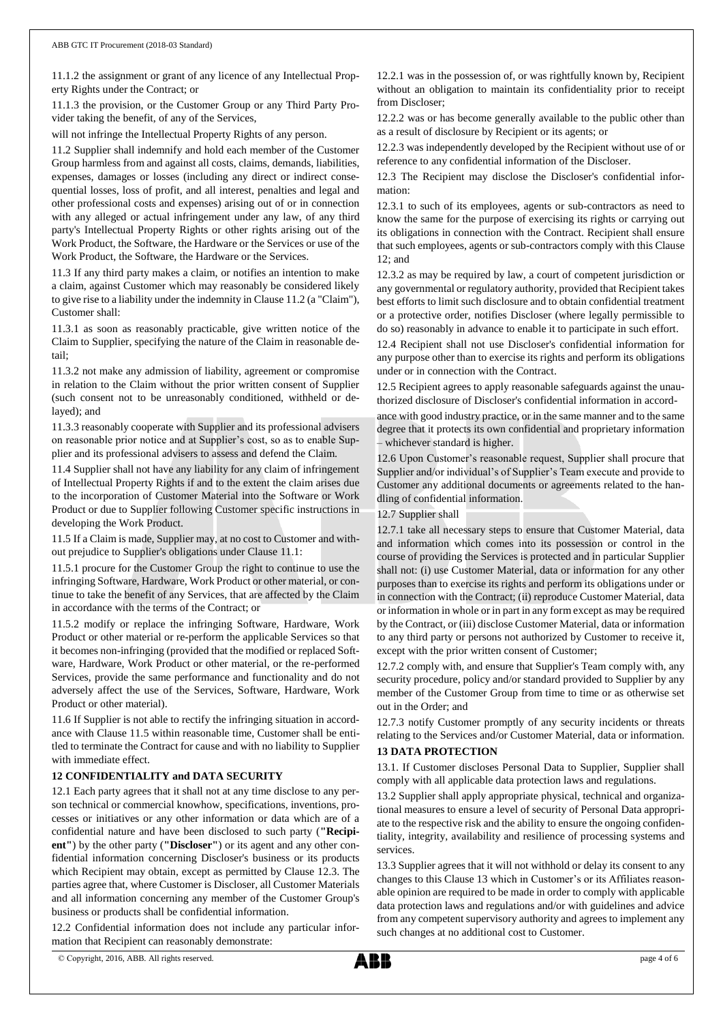11.1.2 the assignment or grant of any licence of any Intellectual Property Rights under the Contract; or

11.1.3 the provision, or the Customer Group or any Third Party Provider taking the benefit, of any of the Services,

will not infringe the Intellectual Property Rights of any person.

11.2 Supplier shall indemnify and hold each member of the Customer Group harmless from and against all costs, claims, demands, liabilities, expenses, damages or losses (including any direct or indirect consequential losses, loss of profit, and all interest, penalties and legal and other professional costs and expenses) arising out of or in connection with any alleged or actual infringement under any law, of any third party's Intellectual Property Rights or other rights arising out of the Work Product, the Software, the Hardware or the Services or use of the Work Product, the Software, the Hardware or the Services.

11.3 If any third party makes a claim, or notifies an intention to make a claim, against Customer which may reasonably be considered likely to give rise to a liability under the indemnity in Clause 11.2 (a "Claim"), Customer shall:

11.3.1 as soon as reasonably practicable, give written notice of the Claim to Supplier, specifying the nature of the Claim in reasonable detail;

11.3.2 not make any admission of liability, agreement or compromise in relation to the Claim without the prior written consent of Supplier (such consent not to be unreasonably conditioned, withheld or delayed); and

11.3.3 reasonably cooperate with Supplier and its professional advisers on reasonable prior notice and at Supplier's cost, so as to enable Supplier and its professional advisers to assess and defend the Claim.

11.4 Supplier shall not have any liability for any claim of infringement of Intellectual Property Rights if and to the extent the claim arises due to the incorporation of Customer Material into the Software or Work Product or due to Supplier following Customer specific instructions in developing the Work Product.

11.5 If a Claim is made, Supplier may, at no cost to Customer and without prejudice to Supplier's obligations under Clause 11.1:

11.5.1 procure for the Customer Group the right to continue to use the infringing Software, Hardware, Work Product or other material, or continue to take the benefit of any Services, that are affected by the Claim in accordance with the terms of the Contract; or

11.5.2 modify or replace the infringing Software, Hardware, Work Product or other material or re-perform the applicable Services so that it becomes non-infringing (provided that the modified or replaced Software, Hardware, Work Product or other material, or the re-performed Services, provide the same performance and functionality and do not adversely affect the use of the Services, Software, Hardware, Work Product or other material).

11.6 If Supplier is not able to rectify the infringing situation in accordance with Clause 11.5 within reasonable time, Customer shall be entitled to terminate the Contract for cause and with no liability to Supplier with immediate effect.

# **12 CONFIDENTIALITY and DATA SECURITY**

12.1 Each party agrees that it shall not at any time disclose to any person technical or commercial knowhow, specifications, inventions, processes or initiatives or any other information or data which are of a confidential nature and have been disclosed to such party (**"Recipient"**) by the other party (**"Discloser"**) or its agent and any other confidential information concerning Discloser's business or its products which Recipient may obtain, except as permitted by Clause 12.3. The parties agree that, where Customer is Discloser, all Customer Materials and all information concerning any member of the Customer Group's business or products shall be confidential information.

12.2 Confidential information does not include any particular information that Recipient can reasonably demonstrate:

12.2.1 was in the possession of, or was rightfully known by, Recipient without an obligation to maintain its confidentiality prior to receipt from Discloser;

12.2.2 was or has become generally available to the public other than as a result of disclosure by Recipient or its agents; or

12.2.3 was independently developed by the Recipient without use of or reference to any confidential information of the Discloser.

12.3 The Recipient may disclose the Discloser's confidential information:

12.3.1 to such of its employees, agents or sub-contractors as need to know the same for the purpose of exercising its rights or carrying out its obligations in connection with the Contract. Recipient shall ensure that such employees, agents or sub-contractors comply with this Clause 12; and

12.3.2 as may be required by law, a court of competent jurisdiction or any governmental or regulatory authority, provided that Recipient takes best efforts to limit such disclosure and to obtain confidential treatment or a protective order, notifies Discloser (where legally permissible to do so) reasonably in advance to enable it to participate in such effort.

12.4 Recipient shall not use Discloser's confidential information for any purpose other than to exercise its rights and perform its obligations under or in connection with the Contract.

12.5 Recipient agrees to apply reasonable safeguards against the unauthorized disclosure of Discloser's confidential information in accord-

ance with good industry practice, or in the same manner and to the same degree that it protects its own confidential and proprietary information – whichever standard is higher.

12.6 Upon Customer's reasonable request, Supplier shall procure that Supplier and/or individual's of Supplier's Team execute and provide to Customer any additional documents or agreements related to the handling of confidential information.

## 12.7 Supplier shall

12.7.1 take all necessary steps to ensure that Customer Material, data and information which comes into its possession or control in the course of providing the Services is protected and in particular Supplier shall not: (i) use Customer Material, data or information for any other purposes than to exercise its rights and perform its obligations under or in connection with the Contract; (ii) reproduce Customer Material, data or information in whole or in part in any form except as may be required by the Contract, or (iii) disclose Customer Material, data or information to any third party or persons not authorized by Customer to receive it, except with the prior written consent of Customer;

12.7.2 comply with, and ensure that Supplier's Team comply with, any security procedure, policy and/or standard provided to Supplier by any member of the Customer Group from time to time or as otherwise set out in the Order; and

12.7.3 notify Customer promptly of any security incidents or threats relating to the Services and/or Customer Material, data or information.

# **13 DATA PROTECTION**

13.1. If Customer discloses Personal Data to Supplier, Supplier shall comply with all applicable data protection laws and regulations.

13.2 Supplier shall apply appropriate physical, technical and organizational measures to ensure a level of security of Personal Data appropriate to the respective risk and the ability to ensure the ongoing confidentiality, integrity, availability and resilience of processing systems and services.

13.3 Supplier agrees that it will not withhold or delay its consent to any changes to this Clause 13 which in Customer's or its Affiliates reasonable opinion are required to be made in order to comply with applicable data protection laws and regulations and/or with guidelines and advice from any competent supervisory authority and agrees to implement any such changes at no additional cost to Customer.

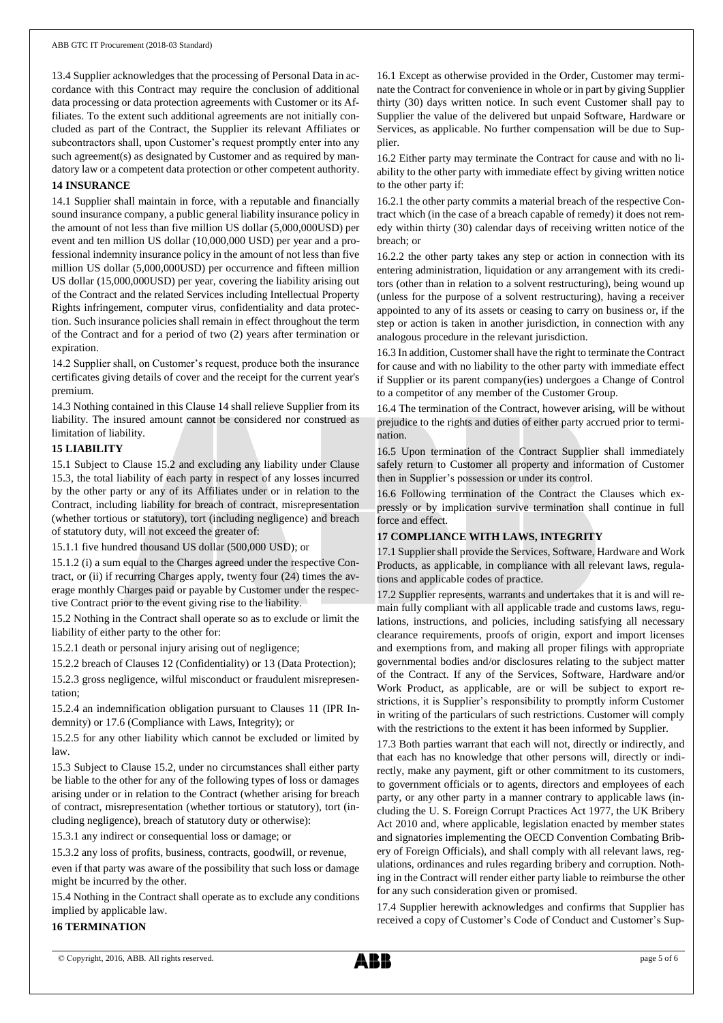13.4 Supplier acknowledges that the processing of Personal Data in accordance with this Contract may require the conclusion of additional data processing or data protection agreements with Customer or its Affiliates. To the extent such additional agreements are not initially concluded as part of the Contract, the Supplier its relevant Affiliates or subcontractors shall, upon Customer's request promptly enter into any such agreement(s) as designated by Customer and as required by mandatory law or a competent data protection or other competent authority.

#### **14 INSURANCE**

14.1 Supplier shall maintain in force, with a reputable and financially sound insurance company, a public general liability insurance policy in the amount of not less than five million US dollar (5,000,000USD) per event and ten million US dollar (10,000,000 USD) per year and a professional indemnity insurance policy in the amount of not less than five million US dollar (5,000,000USD) per occurrence and fifteen million US dollar (15,000,000USD) per year, covering the liability arising out of the Contract and the related Services including Intellectual Property Rights infringement, computer virus, confidentiality and data protection. Such insurance policies shall remain in effect throughout the term of the Contract and for a period of two (2) years after termination or expiration.

14.2 Supplier shall, on Customer's request, produce both the insurance certificates giving details of cover and the receipt for the current year's premium.

14.3 Nothing contained in this Clause 14 shall relieve Supplier from its liability. The insured amount cannot be considered nor construed as limitation of liability.

## **15 LIABILITY**

15.1 Subject to Clause 15.2 and excluding any liability under Clause 15.3, the total liability of each party in respect of any losses incurred by the other party or any of its Affiliates under or in relation to the Contract, including liability for breach of contract, misrepresentation (whether tortious or statutory), tort (including negligence) and breach of statutory duty, will not exceed the greater of:

15.1.1 five hundred thousand US dollar (500,000 USD); or

15.1.2 (i) a sum equal to the Charges agreed under the respective Contract, or (ii) if recurring Charges apply, twenty four (24) times the average monthly Charges paid or payable by Customer under the respective Contract prior to the event giving rise to the liability.

15.2 Nothing in the Contract shall operate so as to exclude or limit the liability of either party to the other for:

15.2.1 death or personal injury arising out of negligence;

15.2.2 breach of Clauses 12 (Confidentiality) or 13 (Data Protection);

15.2.3 gross negligence, wilful misconduct or fraudulent misrepresentation;

15.2.4 an indemnification obligation pursuant to Clauses 11 (IPR Indemnity) or 17.6 (Compliance with Laws, Integrity); or

15.2.5 for any other liability which cannot be excluded or limited by law.

15.3 Subject to Clause 15.2, under no circumstances shall either party be liable to the other for any of the following types of loss or damages arising under or in relation to the Contract (whether arising for breach of contract, misrepresentation (whether tortious or statutory), tort (including negligence), breach of statutory duty or otherwise):

15.3.1 any indirect or consequential loss or damage; or

15.3.2 any loss of profits, business, contracts, goodwill, or revenue,

even if that party was aware of the possibility that such loss or damage might be incurred by the other.

15.4 Nothing in the Contract shall operate as to exclude any conditions implied by applicable law.

#### **16 TERMINATION**

16.1 Except as otherwise provided in the Order, Customer may terminate the Contract for convenience in whole or in part by giving Supplier thirty (30) days written notice. In such event Customer shall pay to Supplier the value of the delivered but unpaid Software, Hardware or Services, as applicable. No further compensation will be due to Supplier.

16.2 Either party may terminate the Contract for cause and with no liability to the other party with immediate effect by giving written notice to the other party if:

16.2.1 the other party commits a material breach of the respective Contract which (in the case of a breach capable of remedy) it does not remedy within thirty (30) calendar days of receiving written notice of the breach; or

16.2.2 the other party takes any step or action in connection with its entering administration, liquidation or any arrangement with its creditors (other than in relation to a solvent restructuring), being wound up (unless for the purpose of a solvent restructuring), having a receiver appointed to any of its assets or ceasing to carry on business or, if the step or action is taken in another jurisdiction, in connection with any analogous procedure in the relevant jurisdiction.

16.3 In addition, Customer shall have the right to terminate the Contract for cause and with no liability to the other party with immediate effect if Supplier or its parent company(ies) undergoes a Change of Control to a competitor of any member of the Customer Group.

16.4 The termination of the Contract, however arising, will be without prejudice to the rights and duties of either party accrued prior to termination.

16.5 Upon termination of the Contract Supplier shall immediately safely return to Customer all property and information of Customer then in Supplier's possession or under its control.

16.6 Following termination of the Contract the Clauses which expressly or by implication survive termination shall continue in full force and effect.

## **17 COMPLIANCE WITH LAWS, INTEGRITY**

17.1 Supplier shall provide the Services, Software, Hardware and Work Products, as applicable, in compliance with all relevant laws, regulations and applicable codes of practice.

17.2 Supplier represents, warrants and undertakes that it is and will remain fully compliant with all applicable trade and customs laws, regulations, instructions, and policies, including satisfying all necessary clearance requirements, proofs of origin, export and import licenses and exemptions from, and making all proper filings with appropriate governmental bodies and/or disclosures relating to the subject matter of the Contract. If any of the Services, Software, Hardware and/or Work Product, as applicable, are or will be subject to export restrictions, it is Supplier's responsibility to promptly inform Customer in writing of the particulars of such restrictions. Customer will comply with the restrictions to the extent it has been informed by Supplier.

17.3 Both parties warrant that each will not, directly or indirectly, and that each has no knowledge that other persons will, directly or indirectly, make any payment, gift or other commitment to its customers, to government officials or to agents, directors and employees of each party, or any other party in a manner contrary to applicable laws (including the U. S. Foreign Corrupt Practices Act 1977, the UK Bribery Act 2010 and, where applicable, legislation enacted by member states and signatories implementing the OECD Convention Combating Bribery of Foreign Officials), and shall comply with all relevant laws, regulations, ordinances and rules regarding bribery and corruption. Nothing in the Contract will render either party liable to reimburse the other for any such consideration given or promised.

17.4 Supplier herewith acknowledges and confirms that Supplier has received a copy of Customer's Code of Conduct and Customer's Sup